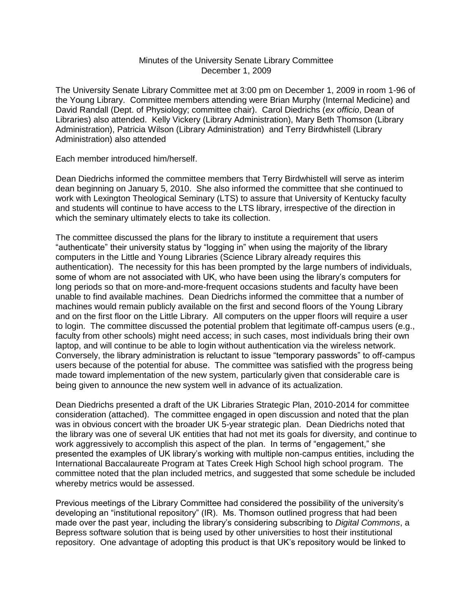#### Minutes of the University Senate Library Committee December 1, 2009

The University Senate Library Committee met at 3:00 pm on December 1, 2009 in room 1-96 of the Young Library. Committee members attending were Brian Murphy (Internal Medicine) and David Randall (Dept. of Physiology; committee chair). Carol Diedrichs (*ex officio*, Dean of Libraries) also attended. Kelly Vickery (Library Administration), Mary Beth Thomson (Library Administration), Patricia Wilson (Library Administration) and Terry Birdwhistell (Library Administration) also attended

Each member introduced him/herself.

Dean Diedrichs informed the committee members that Terry Birdwhistell will serve as interim dean beginning on January 5, 2010. She also informed the committee that she continued to work with Lexington Theological Seminary (LTS) to assure that University of Kentucky faculty and students will continue to have access to the LTS library, irrespective of the direction in which the seminary ultimately elects to take its collection.

The committee discussed the plans for the library to institute a requirement that users "authenticate" their university status by "logging in" when using the majority of the library computers in the Little and Young Libraries (Science Library already requires this authentication). The necessity for this has been prompted by the large numbers of individuals, some of whom are not associated with UK, who have been using the library's computers for long periods so that on more-and-more-frequent occasions students and faculty have been unable to find available machines. Dean Diedrichs informed the committee that a number of machines would remain publicly available on the first and second floors of the Young Library and on the first floor on the Little Library. All computers on the upper floors will require a user to login. The committee discussed the potential problem that legitimate off-campus users (e.g., faculty from other schools) might need access; in such cases, most individuals bring their own laptop, and will continue to be able to login without authentication via the wireless network. Conversely, the library administration is reluctant to issue "temporary passwords" to off-campus users because of the potential for abuse. The committee was satisfied with the progress being made toward implementation of the new system, particularly given that considerable care is being given to announce the new system well in advance of its actualization.

Dean Diedrichs presented a draft of the UK Libraries Strategic Plan, 2010-2014 for committee consideration (attached). The committee engaged in open discussion and noted that the plan was in obvious concert with the broader UK 5-year strategic plan. Dean Diedrichs noted that the library was one of several UK entities that had not met its goals for diversity, and continue to work aggressively to accomplish this aspect of the plan. In terms of "engagement," she presented the examples of UK library's working with multiple non-campus entities, including the International Baccalaureate Program at Tates Creek High School high school program. The committee noted that the plan included metrics, and suggested that some schedule be included whereby metrics would be assessed.

Previous meetings of the Library Committee had considered the possibility of the university's developing an "institutional repository" (IR). Ms. Thomson outlined progress that had been made over the past year, including the library's considering subscribing to *Digital Commons*, a Bepress software solution that is being used by other universities to host their institutional repository. One advantage of adopting this product is that UK's repository would be linked to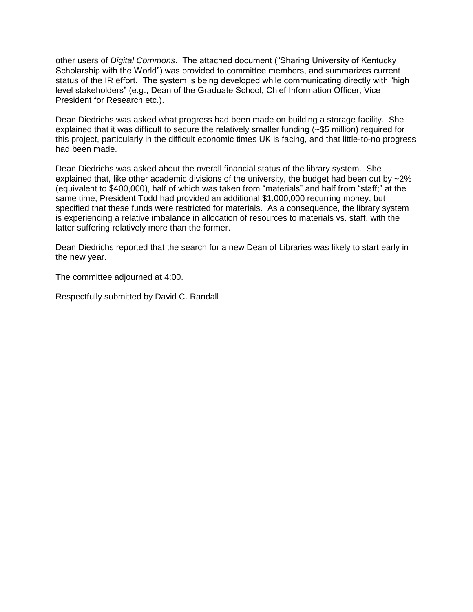other users of *Digital Commons*. The attached document ("Sharing University of Kentucky Scholarship with the World") was provided to committee members, and summarizes current status of the IR effort. The system is being developed while communicating directly with "high level stakeholders" (e.g., Dean of the Graduate School, Chief Information Officer, Vice President for Research etc.).

Dean Diedrichs was asked what progress had been made on building a storage facility. She explained that it was difficult to secure the relatively smaller funding (~\$5 million) required for this project, particularly in the difficult economic times UK is facing, and that little-to-no progress had been made.

Dean Diedrichs was asked about the overall financial status of the library system. She explained that, like other academic divisions of the university, the budget had been cut by  $\sim$ 2% (equivalent to \$400,000), half of which was taken from "materials" and half from "staff;" at the same time, President Todd had provided an additional \$1,000,000 recurring money, but specified that these funds were restricted for materials. As a consequence, the library system is experiencing a relative imbalance in allocation of resources to materials vs. staff, with the latter suffering relatively more than the former.

Dean Diedrichs reported that the search for a new Dean of Libraries was likely to start early in the new year.

The committee adjourned at 4:00.

Respectfully submitted by David C. Randall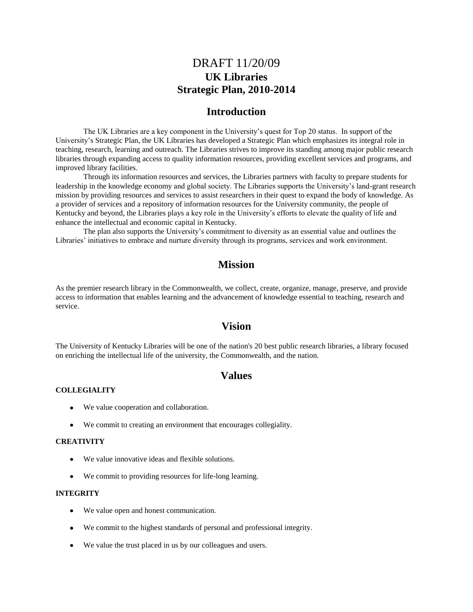## DRAFT 11/20/09 **UK Libraries Strategic Plan, 2010-2014**

### **Introduction**

The UK Libraries are a key component in the University's quest for Top 20 status. In support of the University's Strategic Plan, the UK Libraries has developed a Strategic Plan which emphasizes its integral role in teaching, research, learning and outreach. The Libraries strives to improve its standing among major public research libraries through expanding access to quality information resources, providing excellent services and programs, and improved library facilities.

Through its information resources and services, the Libraries partners with faculty to prepare students for leadership in the knowledge economy and global society. The Libraries supports the University's land-grant research mission by providing resources and services to assist researchers in their quest to expand the body of knowledge. As a provider of services and a repository of information resources for the University community, the people of Kentucky and beyond, the Libraries plays a key role in the University's efforts to elevate the quality of life and enhance the intellectual and economic capital in Kentucky.

The plan also supports the University's commitment to diversity as an essential value and outlines the Libraries' initiatives to embrace and nurture diversity through its programs, services and work environment.

## **Mission**

As the premier research library in the Commonwealth, we collect, create, organize, manage, preserve, and provide access to information that enables learning and the advancement of knowledge essential to teaching, research and service.

### **Vision**

The University of Kentucky Libraries will be one of the nation's 20 best public research libraries, a library focused on enriching the intellectual life of the university, the Commonwealth, and the nation.

## **Values**

#### **COLLEGIALITY**

- We value cooperation and collaboration.
- We commit to creating an environment that encourages collegiality.

#### **CREATIVITY**

- We value innovative ideas and flexible solutions.
- We commit to providing resources for life-long learning.

#### **INTEGRITY**

- We value open and honest communication.
- We commit to the highest standards of personal and professional integrity.
- We value the trust placed in us by our colleagues and users.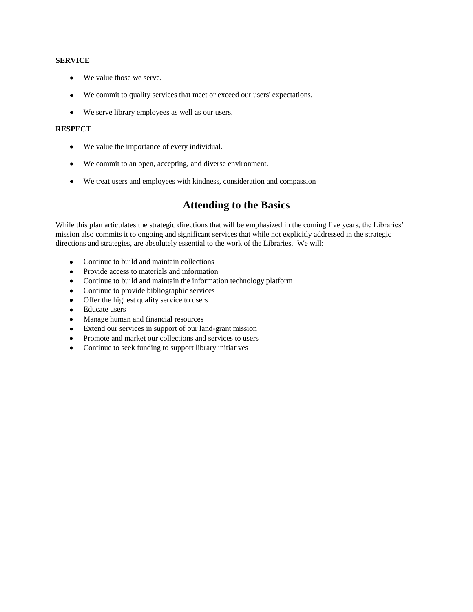#### **SERVICE**

- We value those we serve.
- We commit to quality services that meet or exceed our users' expectations.  $\bullet$
- We serve library employees as well as our users.

#### **RESPECT**

- We value the importance of every individual.
- We commit to an open, accepting, and diverse environment.
- We treat users and employees with kindness, consideration and compassion

## **Attending to the Basics**

While this plan articulates the strategic directions that will be emphasized in the coming five years, the Libraries' mission also commits it to ongoing and significant services that while not explicitly addressed in the strategic directions and strategies, are absolutely essential to the work of the Libraries. We will:

- Continue to build and maintain collections  $\bullet$
- $\bullet$ Provide access to materials and information
- Continue to build and maintain the information technology platform  $\bullet$
- Continue to provide bibliographic services  $\bullet$
- Offer the highest quality service to users  $\bullet$
- Educate users  $\bullet$
- $\bullet$ Manage human and financial resources
- Extend our services in support of our land-grant mission  $\bullet$
- Promote and market our collections and services to users  $\bullet$
- Continue to seek funding to support library initiatives $\bullet$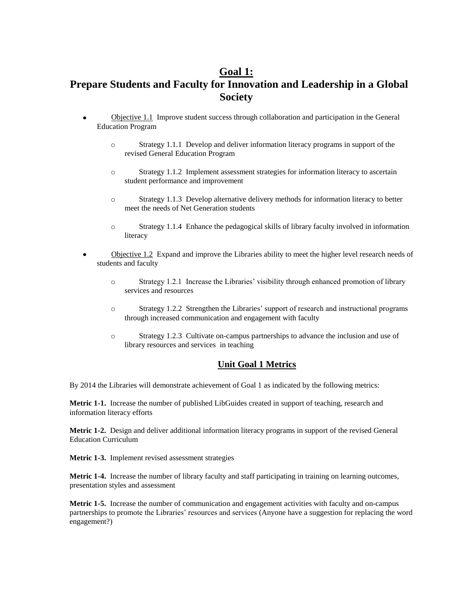## **Goal 1:**

# **Prepare Students and Faculty for Innovation and Leadership in a Global Society**

- Objective 1.1 Improve student success through collaboration and participation in the General Education Program
	- o Strategy 1.1.1 Develop and deliver information literacy programs in support of the revised General Education Program
	- o Strategy 1.1.2 Implement assessment strategies for information literacy to ascertain student performance and improvement
	- o Strategy 1.1.3 Develop alternative delivery methods for information literacy to better meet the needs of Net Generation students
	- o Strategy 1.1.4 Enhance the pedagogical skills of library faculty involved in information literacy
- Objective 1.2 Expand and improve the Libraries ability to meet the higher level research needs of students and faculty
	- o Strategy 1.2.1 Increase the Libraries' visibility through enhanced promotion of library services and resources
	- o Strategy 1.2.2 Strengthen the Libraries' support of research and instructional programs through increased communication and engagement with faculty
	- o Strategy 1.2.3 Cultivate on-campus partnerships to advance the inclusion and use of library resources and services in teaching

#### **Unit Goal 1 Metrics**

By 2014 the Libraries will demonstrate achievement of Goal 1 as indicated by the following metrics:

**Metric 1-1.** Increase the number of published LibGuides created in support of teaching, research and information literacy efforts

**Metric 1-2.** Design and deliver additional information literacy programs in support of the revised General Education Curriculum

**Metric 1-3.** Implement revised assessment strategies

**Metric 1-4.** Increase the number of library faculty and staff participating in training on learning outcomes, presentation styles and assessment

**Metric 1-5.** Increase the number of communication and engagement activities with faculty and on-campus partnerships to promote the Libraries' resources and services (Anyone have a suggestion for replacing the word engagement?)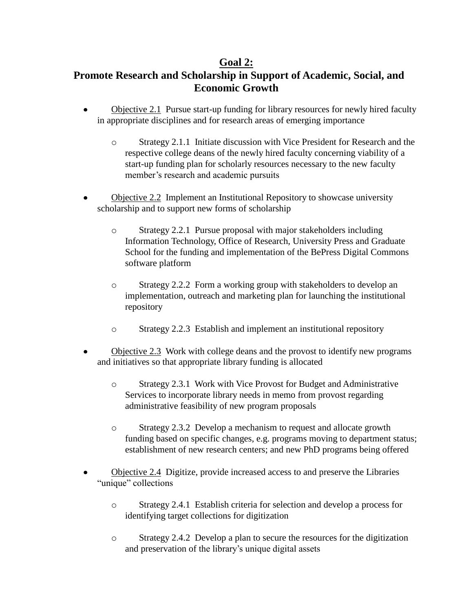## **Goal 2:**

# **Promote Research and Scholarship in Support of Academic, Social, and Economic Growth**

- $\bullet$ Objective 2.1 Pursue start-up funding for library resources for newly hired faculty in appropriate disciplines and for research areas of emerging importance
	- o Strategy 2.1.1 Initiate discussion with Vice President for Research and the respective college deans of the newly hired faculty concerning viability of a start-up funding plan for scholarly resources necessary to the new faculty member's research and academic pursuits
- Objective 2.2 Implement an Institutional Repository to showcase university scholarship and to support new forms of scholarship
	- o Strategy 2.2.1 Pursue proposal with major stakeholders including Information Technology, Office of Research, University Press and Graduate School for the funding and implementation of the BePress Digital Commons software platform
	- o Strategy 2.2.2 Form a working group with stakeholders to develop an implementation, outreach and marketing plan for launching the institutional repository
	- o Strategy 2.2.3 Establish and implement an institutional repository
- Objective 2.3 Work with college deans and the provost to identify new programs and initiatives so that appropriate library funding is allocated
	- o Strategy 2.3.1 Work with Vice Provost for Budget and Administrative Services to incorporate library needs in memo from provost regarding administrative feasibility of new program proposals
	- o Strategy 2.3.2 Develop a mechanism to request and allocate growth funding based on specific changes, e.g. programs moving to department status; establishment of new research centers; and new PhD programs being offered
- Objective 2.4 Digitize, provide increased access to and preserve the Libraries "unique" collections
	- o Strategy 2.4.1 Establish criteria for selection and develop a process for identifying target collections for digitization
	- o Strategy 2.4.2 Develop a plan to secure the resources for the digitization and preservation of the library's unique digital assets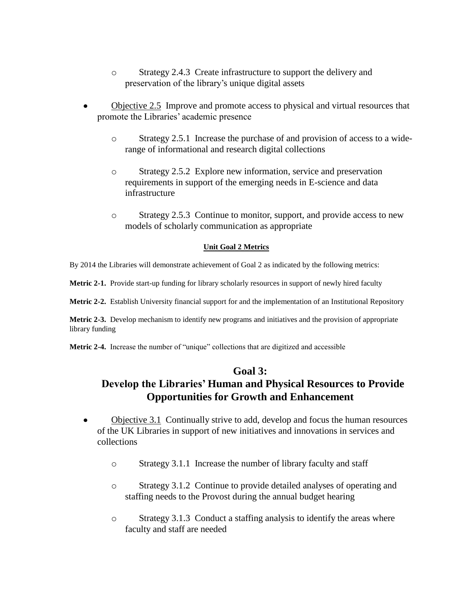- o Strategy 2.4.3 Create infrastructure to support the delivery and preservation of the library's unique digital assets
- Objective 2.5 Improve and promote access to physical and virtual resources that promote the Libraries' academic presence
	- o Strategy 2.5.1 Increase the purchase of and provision of access to a widerange of informational and research digital collections
	- o Strategy 2.5.2 Explore new information, service and preservation requirements in support of the emerging needs in E-science and data infrastructure
	- o Strategy 2.5.3 Continue to monitor, support, and provide access to new models of scholarly communication as appropriate

#### **Unit Goal 2 Metrics**

By 2014 the Libraries will demonstrate achievement of Goal 2 as indicated by the following metrics:

**Metric 2-1.** Provide start-up funding for library scholarly resources in support of newly hired faculty

**Metric 2-2.** Establish University financial support for and the implementation of an Institutional Repository

**Metric 2-3.** Develop mechanism to identify new programs and initiatives and the provision of appropriate library funding

**Metric 2-4.** Increase the number of "unique" collections that are digitized and accessible

## **Goal 3:**

## **Develop the Libraries' Human and Physical Resources to Provide Opportunities for Growth and Enhancement**

- Objective 3.1 Continually strive to add, develop and focus the human resources  $\bullet$ of the UK Libraries in support of new initiatives and innovations in services and collections
	- o Strategy 3.1.1 Increase the number of library faculty and staff
	- o Strategy 3.1.2 Continue to provide detailed analyses of operating and staffing needs to the Provost during the annual budget hearing
	- o Strategy 3.1.3 Conduct a staffing analysis to identify the areas where faculty and staff are needed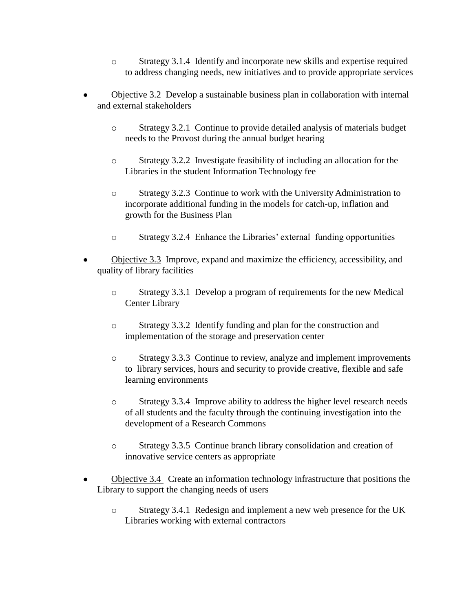- o Strategy 3.1.4 Identify and incorporate new skills and expertise required to address changing needs, new initiatives and to provide appropriate services
- Objective 3.2 Develop a sustainable business plan in collaboration with internal  $\bullet$ and external stakeholders
	- o Strategy 3.2.1 Continue to provide detailed analysis of materials budget needs to the Provost during the annual budget hearing
	- o Strategy 3.2.2 Investigate feasibility of including an allocation for the Libraries in the student Information Technology fee
	- o Strategy 3.2.3 Continue to work with the University Administration to incorporate additional funding in the models for catch-up, inflation and growth for the Business Plan
	- o Strategy 3.2.4 Enhance the Libraries' external funding opportunities
- Objective 3.3 Improve, expand and maximize the efficiency, accessibility, and quality of library facilities
	- o Strategy 3.3.1 Develop a program of requirements for the new Medical Center Library
	- o Strategy 3.3.2 Identify funding and plan for the construction and implementation of the storage and preservation center
	- o Strategy 3.3.3 Continue to review, analyze and implement improvements to library services, hours and security to provide creative, flexible and safe learning environments
	- o Strategy 3.3.4 Improve ability to address the higher level research needs of all students and the faculty through the continuing investigation into the development of a Research Commons
	- o Strategy 3.3.5 Continue branch library consolidation and creation of innovative service centers as appropriate
- Objective 3.4 Create an information technology infrastructure that positions the Library to support the changing needs of users
	- o Strategy 3.4.1 Redesign and implement a new web presence for the UK Libraries working with external contractors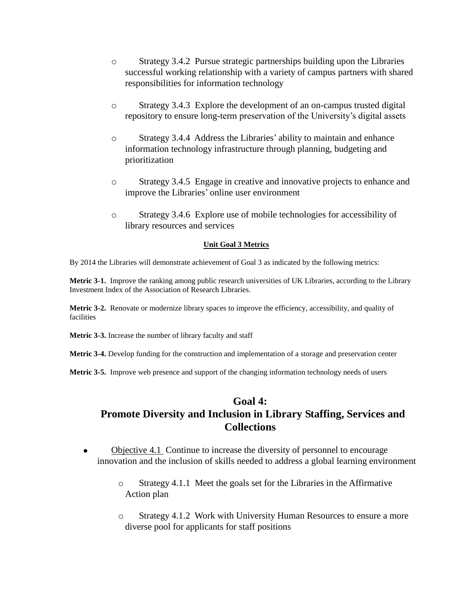- o Strategy 3.4.2 Pursue strategic partnerships building upon the Libraries successful working relationship with a variety of campus partners with shared responsibilities for information technology
- o Strategy 3.4.3 Explore the development of an on-campus trusted digital repository to ensure long-term preservation of the University's digital assets
- o Strategy 3.4.4 Address the Libraries' ability to maintain and enhance information technology infrastructure through planning, budgeting and prioritization
- o Strategy 3.4.5 Engage in creative and innovative projects to enhance and improve the Libraries' online user environment
- o Strategy 3.4.6 Explore use of mobile technologies for accessibility of library resources and services

#### **Unit Goal 3 Metrics**

By 2014 the Libraries will demonstrate achievement of Goal 3 as indicated by the following metrics:

**Metric 3-1.** Improve the ranking among public research universities of UK Libraries, according to the Library Investment Index of the Association of Research Libraries.

**Metric 3-2.** Renovate or modernize library spaces to improve the efficiency, accessibility, and quality of facilities

**Metric 3-3.** Increase the number of library faculty and staff

**Metric 3-4.** Develop funding for the construction and implementation of a storage and preservation center

**Metric 3-5.** Improve web presence and support of the changing information technology needs of users

### **Goal 4:**

# **Promote Diversity and Inclusion in Library Staffing, Services and Collections**

- Objective 4.1 Continue to increase the diversity of personnel to encourage  $\bullet$ innovation and the inclusion of skills needed to address a global learning environment
	- o Strategy 4.1.1 Meet the goals set for the Libraries in the Affirmative Action plan
	- o Strategy 4.1.2 Work with University Human Resources to ensure a more diverse pool for applicants for staff positions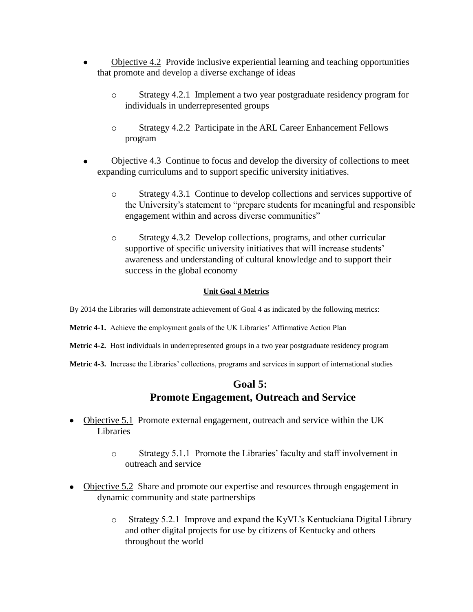- Objective 4.2 Provide inclusive experiential learning and teaching opportunities that promote and develop a diverse exchange of ideas
	- o Strategy 4.2.1 Implement a two year postgraduate residency program for individuals in underrepresented groups
	- o Strategy 4.2.2 Participate in the ARL Career Enhancement Fellows program
- Objective 4.3 Continue to focus and develop the diversity of collections to meet expanding curriculums and to support specific university initiatives.
	- o Strategy 4.3.1 Continue to develop collections and services supportive of the University's statement to "prepare students for meaningful and responsible engagement within and across diverse communities"
	- o Strategy 4.3.2 Develop collections, programs, and other curricular supportive of specific university initiatives that will increase students' awareness and understanding of cultural knowledge and to support their success in the global economy

### **Unit Goal 4 Metrics**

By 2014 the Libraries will demonstrate achievement of Goal 4 as indicated by the following metrics:

- **Metric 4-1.** Achieve the employment goals of the UK Libraries' Affirmative Action Plan
- **Metric 4-2.** Host individuals in underrepresented groups in a two year postgraduate residency program
- **Metric 4-3.** Increase the Libraries' collections, programs and services in support of international studies

## **Goal 5: Promote Engagement, Outreach and Service**

- Objective 5.1 Promote external engagement, outreach and service within the UK Libraries
	- o Strategy 5.1.1 Promote the Libraries' faculty and staff involvement in outreach and service
- Objective 5.2 Share and promote our expertise and resources through engagement in dynamic community and state partnerships
	- o Strategy 5.2.1 Improve and expand the KyVL's Kentuckiana Digital Library and other digital projects for use by citizens of Kentucky and others throughout the world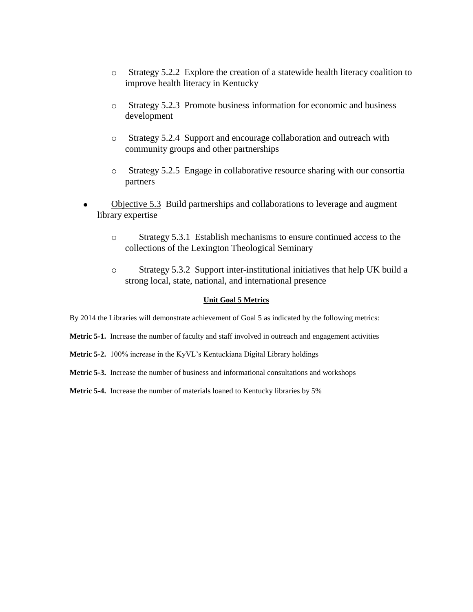- o Strategy 5.2.2 Explore the creation of a statewide health literacy coalition to improve health literacy in Kentucky
- o Strategy 5.2.3 Promote business information for economic and business development
- o Strategy 5.2.4 Support and encourage collaboration and outreach with community groups and other partnerships
- o Strategy 5.2.5 Engage in collaborative resource sharing with our consortia partners
- Objective 5.3 Build partnerships and collaborations to leverage and augment library expertise
	- o Strategy 5.3.1 Establish mechanisms to ensure continued access to the collections of the Lexington Theological Seminary
	- o Strategy 5.3.2 Support inter-institutional initiatives that help UK build a strong local, state, national, and international presence

#### **Unit Goal 5 Metrics**

By 2014 the Libraries will demonstrate achievement of Goal 5 as indicated by the following metrics:

**Metric 5-1.** Increase the number of faculty and staff involved in outreach and engagement activities

**Metric 5-2.** 100% increase in the KyVL's Kentuckiana Digital Library holdings

**Metric 5-3.** Increase the number of business and informational consultations and workshops

**Metric 5-4.** Increase the number of materials loaned to Kentucky libraries by 5%